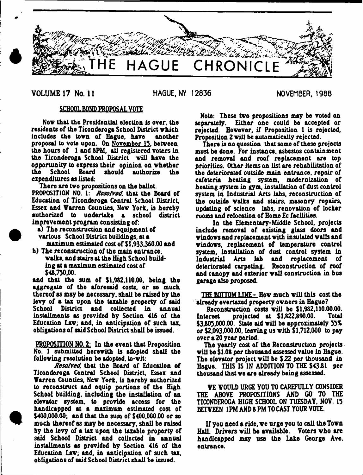

# **VOLUME 17** No. **11** HAGUE, NY 12836 NOVEMBER. 1988

# SCHOOL BOND PROPOSAL VOTE

Nov that the Presidential election is over, the residents of the Ticonderoga School District which<br>includes the town of Hague, have another includes the town of Hague, have proposal to vote upon. On November 15, between the hours of 1 and 8PM. all registered voters in the Ticonderoga School District will have the opportunity to express their opinion on whether School Board should authorize expenditures as listed:

There are two propositions on the ballot.

PROPOSITION NO. 1: *Resolved,* that the Board of Education of Ticonderoga Central School District. Essex and Varren Counties. New York, is hereby authorized to undertake a school district improvement program consisting of:

a) The reconstruction and equipment of various School District buildings, at a maximum estimated cost of  $$1,933,360.00$  and

b) The reconstruction of the main entrance, walks, and stairs at the High School building at a maximum estimated cost of \$48,750.00.

and that the sum of \$1,982,110.00. being the aggregate of the aforesaid costs, or so much thereof as may be necessary, shall be raised by the levy of a tax upon the taxable property of said School District and collected in annual installments as provided by Section 416 of the Education Law; and. in anticipation of such tax, obligations of said School District shall be issued.

PROPOSITION NO. 2: In the event that Proposition No. 1 submitted herewith is adopted shall the following resolution be adopted, to-vit:

*Resolved,* that the Board of Education of Ticonderoga Central School District. Essex and Varren Counties, New York, is hereby authorized to reconstruct and equip portions of the High School building, including the installation of an elevator system, to provide access for the handicapped at a maximum estimated cost of \$400,000.00; and that the sum of \$400,000.00 or so much thereof as may be necessary, shall be raised by the levy of a tax upon the taxable property of said School District and collected in annual installments as provided by Section 416 of the Education Law; and, in anticipation of such tax. obligations of said School District shall be issued.

Note: These two propositions may be voted on separately. Either one could be accepted or rejected. However, if Proposition 1 is rejected. Proposition 2 will be automatically rejected.

There is no question that some of these projects must be done. For instance, asbestos containment and removal and roof replacement are top priorities. Other items on list are rehabilitation of the deteriorated outside main entrance, repair of cafeteria heating system, modernization of heating system in gym. installation of dust control system in Industrial Arts labs, reconstruction of the outside walks and stairs, masonry repairs, updating of science labs, renovation of locker rooms and relocation of Home Ec facilities.

In the Elementary-Middle School, projects include removal of existing glass doors and windows and replacement with insulated walls and windows, replacement of temperature control system, installation of dust control system in<br>Industrial Arts lab and replacement of Industrial Arts lab and deteriorated carpeting. Reconstruction of roof and canopy and exterior wall construction in bus garage also proposed.

THE BOTTOM LINE - How much will this cost the already overtaxed property owners in Hague?

Reconstruction costs will be \$1,982,110.00.00.<br>Interest projected at \$1,822,890.00. Total projected at  $$1,822,890.00$ .  $$3,805,000.00.$  State aid will be approximately  $55\%$ or \$2,093,000.00. leaving us with \$1,712,000 to pay over a 20 year period.

The yearly cost of the Reconstruction projects vill be \$1.08 per thousand assessed value in Hague. The elevator project will be \$22 per thousand in Hague. THIS IS IN ADDITION TO THE \$43 81 per thousand that we are already being assessed.

VE VOULD URGE YOU TO CAREFULLY CONSIDER THE ABOVE PROPOSITIONS AND GO TO THE TICONDEROGA HIGH SCHOOL ON TUESDAY, NOV. 15 BETVEEN 1PM AND 8 PM TO CAST YOUR VOTE.

If you need a ride, we urge you to call the Town HaU. Drivers will be available. Voters who are handicapped may use the Lake George Ave. entrance.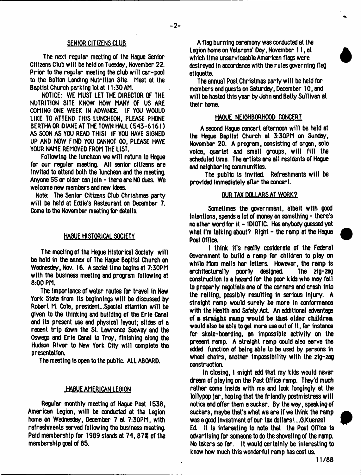## SENIOR CITIZENS CLUB

The next regular meeting of the Hague Senior Citizens Club will be held on Tuesday, November 22. Prior to the regular meeting the club will car-pool to the Bolton Landing Nutrition Site. Meet at the Baptist Church parking lot at 11:30 AM.

NOTICE: WE MUST LET THE DIRECTOR OF THE NUTRITION SITE KNOW HOW MANY OF US ARE COMING ONE WEEK IN ADVANCE. IF YOU WOULD LIKE TO ATTEND THIS LUNCHEON. PLEASE PHONE BERTHA OR DIANE AT THE TOWN HALL (543-6161) AS SOON AS YOU READ THISI IF YOU HAVE SIGNED UP AND NOW FIND YOU CANNOT GO, PLEASE HAVE YOUR NAME REMOVED FROM THE LIST.

Following the luncheon we will return to Hague for our regular meeting. All senior citizens are invited to attend both the luncheon and the meeting. Anyone 55 *or* older can Join - there are NO dues. We welcome new members and new ideas.

Note: The Senior Citizens Club Chrishmes party will be held at Eddie's Restaurant on December 7. Come to the November meeting for details.

### HAGUE HISTORICAL SOCIETY

The meeting of the Hague Historical Society will be held in the annex of The Hague Baptist Church on Wednesdey, Nov. 16. A social time begins at 7:30PM with the business meeting and program following at 8:00 PM.

The importance of water routes for travel in New York State from its beginnings will be discussed by Robert M. Cole, president...Specia1 attention will be given to the thinking and building of the Erie Canal and its present use and physical layout; slides of a recent trip down the St. Lawrence Seeway and the Oswego and Erie Canal to Troy, finishing along the Hudson River to New York City will complete the presentation.

The meeting is open to the public. ALL ABOARD.

## .HAGUE AMERICAN LEGION

Regular monthly meeting of Hague Post 1538, American Legion, will be conducted at the Legion home on Wednesdey, December 7 at 7:30PM, with refreshments served following the business meeting. Paid membership for 1989 stands at 74, 87% of the membership goal of 85.

A flag burning ceremony was conducted at the Legion home on Veterans' Day, November 11, at which time unserviceable American flags were destroyed in accordance with the rules governing flag etiquette.

The annual Post Christmas party will be held for members and guests *on* Saturday, December 10, and will be hosted this year by John end Betty Sullivan at their home.

## HAGUE NEIGHBORHOOD CONCERT

A second Hague concert afternoon will be held at the Hague Baptist Church at 3:30PM *on* Sunday, November 20. A program, consisting of organ, solo voice, quartet and small groups, will fill the scheduled time. The artists are all residents of Hague and neighboring communities.

The public is Invited. Refreshments will be provided immediately after the concert.

## OUR TAX DOLLARS AT WORK?

Sometimes the government, albeit with good intentions, spends a lot of money on something - there's no other word for it - IDIOTIC. Has anybody quessed yet what I'm talking about? Right - the ramp at the Hague Post Office.

I think It's really cosiderate of the Federal Government to build a ramp for children to play on while Mom mails her letters. Howevor, the ramp is<br>erchitecturally poorly designed. The zig-zeg erchitecturally poorly designed. construction is a hazard for the poor kids who may foil to properly negotiate one of the corners and crash into the railing, possibly resulting In serious injury. A straight ramp would surely be more in conformance with the Health and Safety Act. An additional advantage of a straight ramp would be that older children would also be able to get more use out of it, for instance for skate-boarding, an impossible activity on the present ramp. A straight ramp could also serve the added function of being able to be used by persons in wheel chairs, another Impossibility with the zig-zag construction.

In closing, I might add that my kids would never dream of playing *on* the Post Office romp. They'd much rather come inside with me and look longingly at the lollypop jar, hoping that the friendly postmistress will notice end offer them a sucker. By the way, speaking of suckers, maybe that's what we are if we think the ramp was a good investment of our tax dollars!....G.Kuenzel Ed It Is Interesting to note that the Post Office is advertising for someone to do the shoveling of the ramp. No takers so far. It would certainly be interesting to know how much this wonderful ramp has cost us.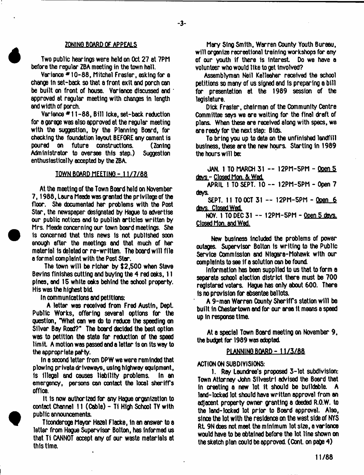#### ZONING BOARD OF APPEALS

 $-3-$ 

Two public hearings were held on Oct 27 at 7PM before the regular ZBA meeting in the town hall.

Variance \* 10-88, Mitchel Frasier, asking for a change In set-back so that a front exit and porch can be built on front of house. Variance discussed and  $\cdot$ approved at regular meeting with changes in length and width of porch.

Variance # 11 -88, Bill Icke, set-back reduction for a garage was also approved at the reoular meeting with the suggestion, by the Planning Board, for checking the foundation layout BEFORE any cement is poured on future constructions. (Zoning Administrator to oversee this step.) Suggestion enthusiastically accepted by the ZBA.

### TOWN BOARD MEETING -11/7/68

At the meeting of the Town Board held on November 7,1988, Laura Meade was granted the privilege of the floor. She documented her problems with the Post Star, the newspaper designated by Hague to advertise our public notices and to publish articles written by Mrs. Meade concerning our town boxd meetings. She Is concerned that this news Is not published soon enough after the meetings and that much of her material is deleted or re-written. The board will file a formal complaint with the Post Star.

The town will be richer by \$2,500 when Steve Bevins finishes cutting and buying the 4 red oaks, 11 pines, and 15 white oaks behind the school property. His was the highest bid.

In communications and petitions:

A letter was received from Fred Austin, Dept. Public Works, offering several options for the question, "What can we do to reduce the speeding on Silver Bay Road?" The board decided the best option was to petition the state for reduction of the speed lim it A motion was passed and a letter Is on its way to the appropriate party.

In a second letter from DPW we were reminded that plowing private driveways, using highway equipment, is illegal and causes liability problems. In an emergency, persons can contact the local sheriffs office.

It is now authorized for any Hague organization to contact Channel 11 (Coble) - Ti High School TV with public announcements.

Ticonderoga Mayor Hazel Flacke, in an answer to a letter from Hague Supervisor Bolton, has informed us that Ti CANNOT accept any of our waste materials at this time.

Mary Sing Smith, Warren County Youth Bureau, will arganize recreational training workshops for any of our youth if there is interest Do we have a volunteer who would like to get involved?

Assemblyman Neil Kelleaher received the school petitions so many of us signed and is preparing a bill for presentation at the 1989 session of the legislature.

Dick Frasier, chairman of the Community Centre Committee says we are waiting for the final draft of plans. When these are received along with specs, we are ready for the next step: Bids.

To bring you up to date on the unfinished landfill business, these are the new hours. Starting in 1989 the hours will be:

JAN. 1 TO MARCH 31 -- 12PM-5PM - Ooen 5 davs - Closed Mon. & Wed.

APRIL 1 TO SEPT. 10 — 12PM-5PM - Open 7 days.

SEPT. 11 TO OCT 31 — 12PM-5PM - Open 6 days, Closed Wad

NOV. 1 TO DEC 31 — 12PM-5PM - Ooen 5 davs. Closed Mon, end Wed.

New business included the problems of power outages. Supervisor Bolton is writing to the Public Service Commission and Niagara-Mohawk with our complaints to see if a solution can be found.

Information has been supplied to us that to form **a** separate school election district there must be 700 registered voters. Hague has only about 600. There Is no provision for absentee ballots.

A 9-man Wxren Oounty Sheriffs station w ill be built in Chestertown and for our area it means a speed up In response time.

At a special Town Board meeting on November 9, the budget for 1989 was adopted.

# PLANNING BOARD-11/3/88

ACTION ON SUBDIVISIONS:

1. Ray Laundree's proposed 3 -lot subdivision: Town Attorney John Silvestri advised the Board that in creating a new lot it should be bulldable. A land-locked lot should have written approval from an adjacent property owner granting a deeded R.O.W. to the land-locked lot prior to Board approval. Also, since the lot with the residence on the west side of NYS Rt. 9N does not meet the minimum lot size, a variance would have to be obtained before the lot line shown on the sketch plan could be approved. (Cont. on page 4)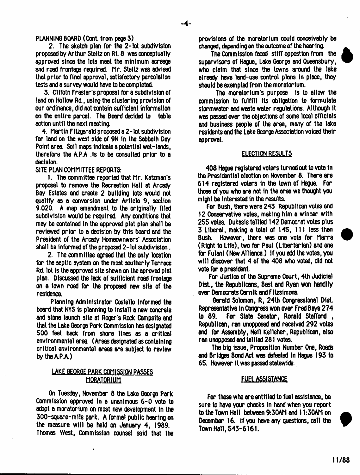PLANNING BOARD (Cont. from page 3)

2. The sketch plan for the 2- lot subdivision proposed by Arthur Steitz on Rt. 8 was conceptually approved since the lots meet the minimum acreage and road frontage required. Mr. Steitz was advised that prior to final approval, satisfactory percolation tests and a survey would have to be completed

3. Cllfotn Frasier's proposal for a subdivision of land on Hollow Rd., using the clustering provision of our ordinance, did not contain sufficient information<br>on the entire parcel. The Board decided to table on the entire parcel. The Board decided to action until the next meeting.

4. Martin Fitzgerald proposed a 2-lot subdivision for land on the west side of 9N in the Sabbath Day Point area. Soil maps indicate a potential wet-lands, therefore the  $APA$  . Is to be consulted prior to a docision.

SITE PLAN COMMITTEE REPORTS:

1. The committee reported that Mr. Katzman's proposal to remove the Recreation Hall at Arcady Bay Estates and xeate 2 building lots would not qualify as a conversion under Article 9, section 9.020. A map amendment to the originally filed subdivision would be required. Any conditions that may be contained in the approved plat plan shall be reviewed prior to a decision by this board and the President of the Arcady Homeownwers\* Association shall be informed of the proposed 2-lot subdivision.

2. The committee agreed that the only location for the septic system on the most southerly Terrace Rd. lot is the approved site shown on the aproved plat plan. Discussed the lack of sufficient road frontage on a town roed for the proposed new site of the residence.

Planning Administrator Costello informed the board that NYS is planning to Install a new concrete and stone launch site at Roger's Rock Campsite and that the Lake George Park Commission has designated 500 feet back from shore lines as a critical environmental area (Areas designated as containing critical environmental areas are subject to review by the APA)

# LAKE GEORGE PARK COMISSION PASSES MORATORIUM

On Tuesday, November 8 the Lake George Park Commission approved in a unanimous 6-0 vote to adopt a moratorium on most new development in the 300-square-mile park. A formal public hearing on the measure will be held on January 4, 1989. Thomas West, Commission counsel said that the provisions of the moratorium could conceivably be changed, depending on the outcome of the hearing.

The Commission faced stiff oppostion from the supervisors of Hague, Lake George and Queensbury, who claim that since the towns around the lake already have land-use control plans in place, they should be exempted from the moretorium.

The maratorium's purpose is to allow the commission to fulfill its obligation to formulate stormwater and waste water regulations. Although it was passed over the objections of some local officials and business people of the area, many of the lake residents and the Lake George Association voiced their approval.

# ELECTION RESULTS

408 Hague registered voters turned out to vote In the Presidential election on November 8. There are 614 registered voters in the town of Hague. For those of you who are not in the area we thought you might be Interested in the results.

For Bush, there were 243 Republican votes and 12 Conservative votes, making him a winner with 255 votes. Dukasis tallied 142 Democrat votes plus 3 Liberal, making a total of 145, 111 less than Bush. However, there was one vote for Marra (Right to Life), two far Paul (Libertarian) and one for Fulani (New Alliance.) If you add the votes, you will discover that 4 of the 408 who voted, did not vote for a president.

For Justice of the Supreme Court, 4th Judicial Dist, the Republicans. Best and Ryan won handily over Democrats Cernik and Fitzsimons.

Garald Solomon, R, 24th Congressional Dist. Representative in Congress won over Fred Baye 274 to 89. For State Senator, Ronald Stafford , Republican, ran unopposed and received 292 votes and for Assembly, Nell Kelleher, Republican, also ran unopposed and tallied 281 votes.

The big issue, Proposition Number One, Roads and Bridges Bond Act was defeated In Hague 193 to 65. However it was passed statewide.

# **FUEL ASSISTANCE**

For those who are entitled to fuel assistance, be sure to have your checks in hand when you report to the Town Hall between 9:30AM and 11:30AM on ^ December 16. If you have any questions, call the Town Hall, 543-6161.

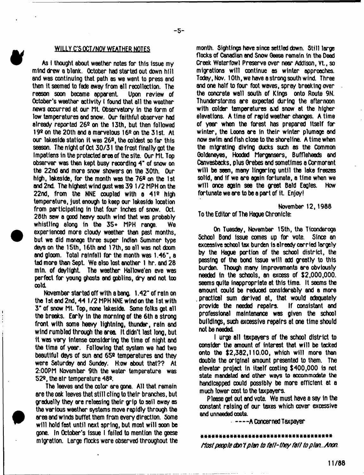## WILLY C'S OCT/NOV WEATHER NOTES

\*

As I thought about weather notes for this issue my mind drew a blank. October had started out down hilt and was continuing that path as we went to press and then it seemed to fade away from ell reoollection. The reason soon became apparent Upon review of October's weather activity I found that all the weather news occurred at our Ml Observatory in the form of low temperatures end snow. Our faithful observer had already reported  $26<sup>°</sup>$  on the 13th, but then followed 19 $2$  on the 20th and a marvelous 16 $2$  on the 31st. At our lakeside station it was 26º, the coldest so far this season. The night of Oct 30/31 the frost finally got the Impatiens in the protected area of the site. Our ML Top observer was then kept busy recording 4" of snow on the 22nd and more snow showers on the 30th. Our high, lakeside, for the month was the  $76<sup>°</sup>$  on the 1st and 2nd. The highest wind gust was 39 1 /2 MPH on the 22nd, from the NNE coupled with a  $412$  high temperature, just enough to keep our lakeside location from participating in that four inches of snow. Oct. 28th saw a good heavy south wind that was probably whistling along in the 354- MPH range. We experienced more cloudy weather than past months, but we did manage three super Indian Summer type days on the 15th, 16th and 17th, so all was not doom and gloom. Total rainfall for the month was  $1.46"$ , a tad more than Sept. We also lost another 1 hr. and 28 mln. of daylight. The weether Hallowe'en eve was perfect for young ghosts and goblins, dry and not too cold.

November started off with a bang. 1.42" of rain on the 1 st and 2nd, 44 1 *12* MPH NNE wind on the 1 st with 3" of snow Mt. Top, none lakeside. Some folks get all the breeks. Early in the morning of the 6th a strong front with some heavy lightning, thunder, rain and wind rumbled through the area. It didn't last long, but 1t was very intense considering the time of night and the time of year. Following that system we had two beautiful days of sun and 65º temperatures and they were Saturday and Sunday. H:ow about that?? At 2:00PM November 9th the water temperature was 52®, the air temperature 48\*.

The leaves and the color are gone. All that remain are the oak leaves that still cling to their branches, but gradually they are releasing their grip to sail away as the various weether systems move rapidly through the area and winds buffet them from every direction. Some will hold fast until next spring, but most will 90on be gone. In October's issue I failed to mention the geese migration. Large flocks were observed throughout the

month. Sightings have since settled down. Still large flocks of Canadian and Snow Geese remain in the Dead Creek Waterfowl Preserve over near Addison, Vt., so migrations will continue as winter approaches. Today, Nov. 10th, we have a strong south wind. Three and one half to four foot waves, spray breaking over the concrete wall south of Kings onto Route 9N. Thunderstorms are expected during the afternoon with colder temperatures and snow at the higher elevations. A time of rapid weather changes. A time of year when the forest has prepared itself for winter, the Loons are in their winter plumage and now swim and fish close to the shoreline. A time when the migrating diving ducks such as the Common Goldeneyes, Hooded Mergansers, Buffleheads and Canvasbacks, plus Grebes and sometimes a Cormorant will be seen, many lingering until the lake freezes solid, and if we are again fortunate, a time when we will once again see the greet Bald Eagles. How fortunate we are to be a part of it. Enjoy!

November 12, 1988 To the Editor of The Hague Chronicle:

On Tuesday, November 15th, the Ticonderoga School Bond issue comes up for vote. Since an excessive school tax burden is already carried largely by the Hague portion of the school district, the passing of the bond issue will add greatly to this burden. Though many improvements ere obviously needed in the schools, an excess of S2,000,000. seems quite inappropriate at this time. It seems the amount could be reduced considerably and a more practical sum derived at, that would adequately provide the needed repairs. If consistent and professional maintenance was given the school buildings, such excessive repairs at one time should not be needed

I urge all taxpayers of the school district to consider the amount of interest that will be tacked onto the \$2,382,110.00, which will more than double the original amount presented to them. The elevator project in itself costing \$400,000 is not **state mandated and other ways to accommodate the** handicapped could possibly be more efficient at a much lower cost to the taxpayers.

Please get out and vote. We must have a say in the constant raising of our taxes which cover excessive **and unneedad costs.**

A Concerned Taxpayer

# ft\*\*\*\*\*\*\*\*\*\*\*\*\*\*\*\*\*\*\*\*\*\*\*\*\*\*\*\*\*\*\*\*\*\*\*

*Most people don't plan to la th they fa ll to plan*.. *Mon.*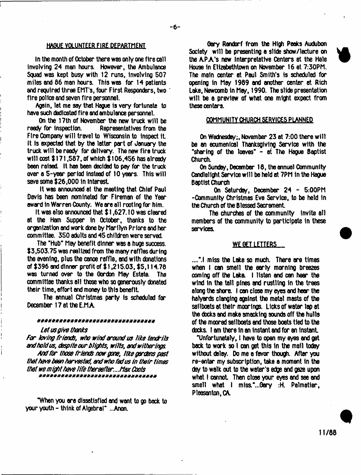# HAGUE VOLUNTEER FIRE DEPARTMENT

In the month of October there was only one fire call involving 24 man hours. However, the Ambulance Squad was kept busy with 12 runs, involving 507 miles and 86 man hours. This was for 14 patients and required three EMT's, four First Responders, two " fire police and seven fire personnel.

Again, let me say that Hague is very fortunate to have such dedicated fire and ambulance personnel.

On the 17th of November the new truck will be ready for inspection. Because Representatives from the Representatives from the Fire Company will travel to Wisconsin to inspect it. It is expected that by the latter part of January the truck will be ready for delivery. The new fire truck will cost \$ 171.587. of which \$ 106.456 has already been raised. It has been decided to pay for the truck over a 5-year period Instead of 10 years. This will save some \$26,000 in interest

It was announced at the meeting that Chief Paul Davis has been nominated for Fireman of the Year award in Warren County. We are all rooting for him.

It was also announced that \$1,627.10 was cleared at the Ham Supper In October, thanks to the organization and work done by Marilyn Priore and her committee. 350 adults and 45 children were served.

The "Hub" May benefit dinner was a huge success. \$3,503.75 was realized from the many raffles during the evening, plus the canoe raffle, and with donations of \$396 and dinner profit of \$ 1,215.03, \$5,114.78 was turned over to the Gordon May Estate. The committee thanks all those who so generously donated their time, effort and money to this benefit.

The annual Christmas party is scheduled for December 17 at the E.M.A.

## \*\*\*\*\*\*\*\*\*\*\*\*\*\*\*\*\*\*\*\*\*\*\*\*\*\*\*\*\*\*\*

#### *Let us give thanks*

*For Loving friends, who wind around us Like tendrils and hold us, despite our blights, w iits, andwitherings*

*And for those friends now gone, Like gardens past that have been harvested, and who fad us in their times that we might have Life thereafter.... Max Coots*

"When you xe dissatisfied and wont to go back to your youth - think of Algebral" ..Anon.

Gary Randorf from the High Peaks Audubon Society will be presenting a slide show/lecture on the A.PA's new Interpretative Centers at the Hale House in Elizabethtown on November 16 at  $7:30$ PM. The main center at Paul Smith's is scheduled for opening in May 1989 and another center at Rich Lake, Newcomb in May, 1990. The slide presentation will be a preview of what one might expect from these centers.

#### COMMUNITY CHURCH SERVICES PLANNED

On Wednesday; November 23 at 7:00 there will be an ecumenical Thanksgiving Service with the "sharing of the loaves" - at The Hague Baptist Church.

On Sunday, December 18, the annual Community Candlelight Service will be held at 7PM in the Hague Baptist Church

On Saturday, December 24 - 5:00PM -Community Christmas Eve Service, to be held in the Church of the Blessed Sacrament

The churches of the community invite all members of the community to participate in these

### WE GET LETTERS

....".I miss the Lake so much. There are times when I can smell the early morning breezes coming off the Laka. I listen and can hear the wind In the tall pines and rustling in the trees along the shore. I can close my eyes and hear the halyards clanging against the metal masts of the sailboats at their moorings. Licks of water lap at the docks and make smacking sounds off the hulls of the moxed sailboats and those boats tied to the docks. I am there in an instant and for an instant.

"Unfortunately, I have to open my eyes and get back to work so I can get this in the mail today without delay. Do me a favor though. After you re-entar my subscription, take a moment in the day to walk out to the water's edge and gaze upon what I cannot. Then close your eyes and see and smell what I miss."...Gary :H. Palmatier, Pleasanton, CA.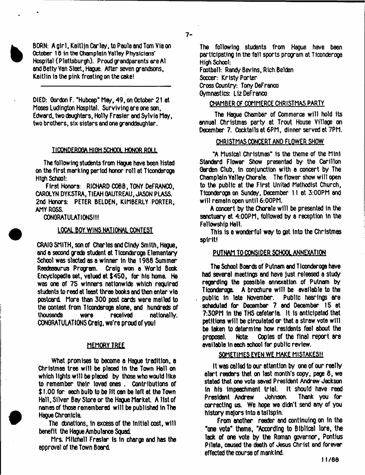$7 -$ 

BORN: A girl, Kaitljn Carle/, to Paula and Tom Via on October 16 in the Champloin Yalley Physicians' Hospital (Plattsburgh). Proud grandparents are A1 and Betty Van Sleet, Hague. After seven grandsons, Kaitlin is the pink frosting on the cake!

DIED: Gordon F. "Hubcap" May, 49, on October 21 at Moses Ludington Hospital. Surviving are one son, Edward, two daughters, Holly Frasier and Sylvia May, two brothers, six sisters and one granddaughter.

## **TICONDEROGA HIGH SCHOOL HONOR ROLL**

The following students from Hague have been listed on the first marking period honor roll at Ticonderoga High School:

First Honors: RICHARD COBB, TONY DeFRANCO, CAROLYN DYKSTRA, TIEAH GAUTREAU, JASON PLASS. 2nd Honors: PETER BELDEN, KIMBERLY PORTER, AMY ROSS.

CONGRATULATIONS!!!

# LOCAL BOY WINS NATIONAL CONTEST

CRAIG SMITH, son of Charles and Cindy Smith, Hague, and a second grade student at Ticonderoga Elementary School was slected as a winner in the 1988 Summer Readasaurus Program. Craig won a World Book Encyclopedia set, valued at \$450, for his home. He was one of 75 winners nationwide which required students to read at least three books and then enter via postcard. More than 300 post cards were mailed to the contest from Ticonderoga alone, and hundreds of<br>thousands were received nationally. thousands were received nationally. CONGRATULATIONS Craig, we're proud of you!

# **MEMORY TREE**

What promises to become a Hague tradition, a Christmas tree will be placed in the Town Hall on which lights will be placed by those who would like to remember their loved ones . Contributions of  $$1,00$  for each bulb to be lit can be left at the Town Hall, Silver Bay Store or the Hague Market. A list of names of those remembered will be published in The Hague Chronicle.

The donations, In excess of the Initial cost, will benefit the Hague Ambulance Squad

Mrs. Mitchell Frasian is in change and has the approval of the Town Board

The following students from Hague have been participating in the fall sports program at Ticonderoga High School:

Football: Randy Bevins, Rich Belden Soccer: Kristy Porter Cross Country: Tony DeFranco Gymnastics: Liz DeFranco

## CHAMBER OF COMMERCE CHRISTMAS PARTY

The Hague Chamber of Commerce will hold Its annual Christmas party at Trout House Village on December 7. Cocktails at 6PM, dinner served at 7PM.

# CHRISTMAS CONCERT AND FLOWER SHOW

"A Musical Christmas" is the theme of the Mini-Standard Flowar Show presented by the Carillon Garden Club, in conjunction with a concert by The Champlain Yalley Chorale. The flower show will open to the public at the First United Methodist Church, Ticonderoga on Sunday, December 11 at 3:00PM and will remain open until 6:00PM.

A concert by the Chorale will be presented in the sanctuary at 4:00PM, followed by a reception In the Fellowship Hall.

This is a wonderful way to get Into the Christmas spirit!

# PUTNAM TO CONSIDER SCHOOL ANNEXATION

The School Boards of Putnam and Tlconderoga have had several meetings and have just released a study regarding the possible annexation of Putnam by Ticonderoga. A brochure will be available to the public in late November. Public hearings are scheduled for December 7 and December 15 at 7:30PM in the THS cafetaria. It is anticipated that petitions will be circulated or that a straw vote will be taken to determine how residents feel about the proposal. Note: Copies of the final report are available in each school far public review.

### SOMETIMES EVEN WE MAKE MISTAKES!!

It was called to our attention by one of our really alart readers that on last month's copy, page  $8$ , we stated that one vote saved President Andrew Jackson In his impeachment trial. It should have read<br>President Andrew – Johnson. Thank you for President Andrew Johnson. cxreding us. We hope we didn't send any of you history majors into a tallspln.

From another reeder and continuing on in the "one vote" theme, "According to Biblical lore, the lack of one vote by the Roman governor, Pontius Pilate, caused the death of Jesus Christ and forever effected the course of mankind.